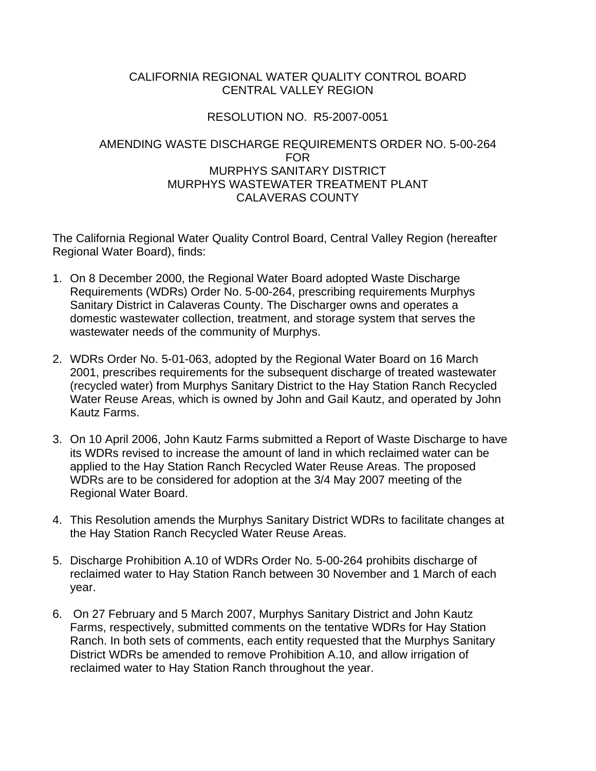## CALIFORNIA REGIONAL WATER QUALITY CONTROL BOARD CENTRAL VALLEY REGION

## RESOLUTION NO. R5-2007-0051

## AMENDING WASTE DISCHARGE REQUIREMENTS ORDER NO. 5-00-264 FOR MURPHYS SANITARY DISTRICT MURPHYS WASTEWATER TREATMENT PLANT CALAVERAS COUNTY

The California Regional Water Quality Control Board, Central Valley Region (hereafter Regional Water Board), finds:

- 1. On 8 December 2000, the Regional Water Board adopted Waste Discharge Requirements (WDRs) Order No. 5-00-264, prescribing requirements Murphys Sanitary District in Calaveras County. The Discharger owns and operates a domestic wastewater collection, treatment, and storage system that serves the wastewater needs of the community of Murphys.
- 2. WDRs Order No. 5-01-063, adopted by the Regional Water Board on 16 March 2001, prescribes requirements for the subsequent discharge of treated wastewater (recycled water) from Murphys Sanitary District to the Hay Station Ranch Recycled Water Reuse Areas, which is owned by John and Gail Kautz, and operated by John Kautz Farms.
- 3. On 10 April 2006, John Kautz Farms submitted a Report of Waste Discharge to have its WDRs revised to increase the amount of land in which reclaimed water can be applied to the Hay Station Ranch Recycled Water Reuse Areas. The proposed WDRs are to be considered for adoption at the 3/4 May 2007 meeting of the Regional Water Board.
- 4. This Resolution amends the Murphys Sanitary District WDRs to facilitate changes at the Hay Station Ranch Recycled Water Reuse Areas.
- 5. Discharge Prohibition A.10 of WDRs Order No. 5-00-264 prohibits discharge of reclaimed water to Hay Station Ranch between 30 November and 1 March of each year.
- 6. On 27 February and 5 March 2007, Murphys Sanitary District and John Kautz Farms, respectively, submitted comments on the tentative WDRs for Hay Station Ranch. In both sets of comments, each entity requested that the Murphys Sanitary District WDRs be amended to remove Prohibition A.10, and allow irrigation of reclaimed water to Hay Station Ranch throughout the year.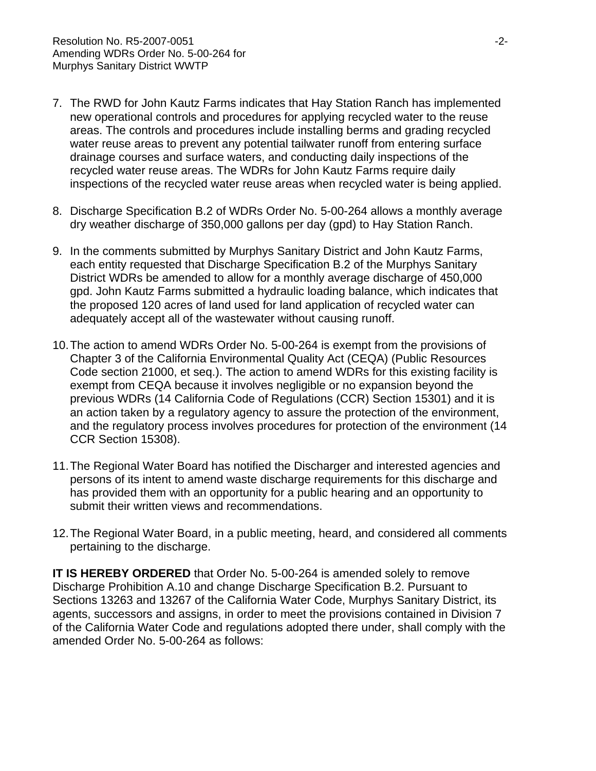- 7. The RWD for John Kautz Farms indicates that Hay Station Ranch has implemented new operational controls and procedures for applying recycled water to the reuse areas. The controls and procedures include installing berms and grading recycled water reuse areas to prevent any potential tailwater runoff from entering surface drainage courses and surface waters, and conducting daily inspections of the recycled water reuse areas. The WDRs for John Kautz Farms require daily inspections of the recycled water reuse areas when recycled water is being applied.
- 8. Discharge Specification B.2 of WDRs Order No. 5-00-264 allows a monthly average dry weather discharge of 350,000 gallons per day (gpd) to Hay Station Ranch.
- 9. In the comments submitted by Murphys Sanitary District and John Kautz Farms, each entity requested that Discharge Specification B.2 of the Murphys Sanitary District WDRs be amended to allow for a monthly average discharge of 450,000 gpd. John Kautz Farms submitted a hydraulic loading balance, which indicates that the proposed 120 acres of land used for land application of recycled water can adequately accept all of the wastewater without causing runoff.
- 10. The action to amend WDRs Order No. 5-00-264 is exempt from the provisions of Chapter 3 of the California Environmental Quality Act (CEQA) (Public Resources Code section 21000, et seq.). The action to amend WDRs for this existing facility is exempt from CEQA because it involves negligible or no expansion beyond the previous WDRs (14 California Code of Regulations (CCR) Section 15301) and it is an action taken by a regulatory agency to assure the protection of the environment, and the regulatory process involves procedures for protection of the environment (14 CCR Section 15308).
- 11. The Regional Water Board has notified the Discharger and interested agencies and persons of its intent to amend waste discharge requirements for this discharge and has provided them with an opportunity for a public hearing and an opportunity to submit their written views and recommendations.
- 12. The Regional Water Board, in a public meeting, heard, and considered all comments pertaining to the discharge.

**IT IS HEREBY ORDERED** that Order No. 5-00-264 is amended solely to remove Discharge Prohibition A.10 and change Discharge Specification B.2. Pursuant to Sections 13263 and 13267 of the California Water Code, Murphys Sanitary District, its agents, successors and assigns, in order to meet the provisions contained in Division 7 of the California Water Code and regulations adopted there under, shall comply with the amended Order No. 5-00-264 as follows: